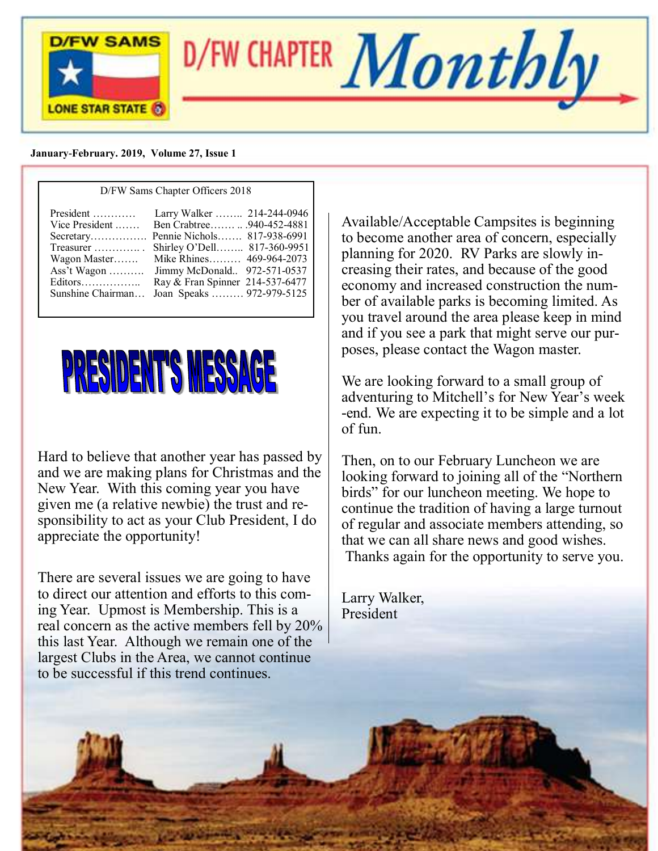

#### **January-February. 2019, Volume 27, Issue 1**

| D/FW Sams Chapter Officers 2018  |                                 |  |
|----------------------------------|---------------------------------|--|
| President                        | Larry Walker  214-244-0946      |  |
| Vice President                   | Ben Crabtree940-452-4881        |  |
|                                  | Pennie Nichols 817-938-6991     |  |
| Treasurer $\ldots \ldots \ldots$ | Shirley O'Dell 817-360-9951     |  |
| Wagon Master                     | Mike Rhines 469-964-2073        |  |
| Ass't Wagon                      | Jimmy McDonald 972-571-0537     |  |
| Editors                          | Ray & Fran Spinner 214-537-6477 |  |
| Sunshine Chairman                | Joan Speaks  972-979-5125       |  |



Hard to believe that another year has passed by and we are making plans for Christmas and the New Year. With this coming year you have given me (a relative newbie) the trust and responsibility to act as your Club President, I do appreciate the opportunity!

There are several issues we are going to have to direct our attention and efforts to this coming Year. Upmost is Membership. This is a real concern as the active members fell by 20% this last Year. Although we remain one of the largest Clubs in the Area, we cannot continue to be successful if this trend continues.

Available/Acceptable Campsites is beginning to become another area of concern, especially planning for 2020. RV Parks are slowly increasing their rates, and because of the good economy and increased construction the number of available parks is becoming limited. As you travel around the area please keep in mind and if you see a park that might serve our purposes, please contact the Wagon master.

We are looking forward to a small group of adventuring to Mitchell's for New Year's week -end. We are expecting it to be simple and a lot of fun.

Then, on to our February Luncheon we are looking forward to joining all of the "Northern birds" for our luncheon meeting. We hope to continue the tradition of having a large turnout of regular and associate members attending, so that we can all share news and good wishes. Thanks again for the opportunity to serve you.

Larry Walker, President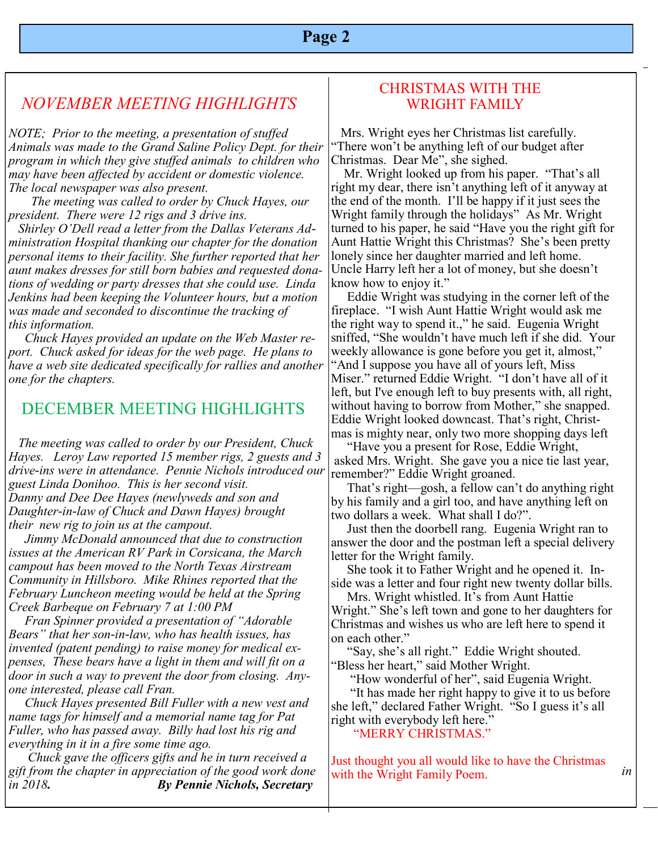# *NOVEMBER MEETING HIGHLIGHTS*

*NOTE; Prior to the meeting, a presentation of stuffed Animals was made to the Grand Saline Policy Dept. for their program in which they give stuffed animals to children who may have been affected by accident or domestic violence. The local newspaper was also present.*

 *The meeting was called to order by Chuck Hayes, our president. There were 12 rigs and 3 drive ins.*

 *Shirley O'Dell read a letter from the Dallas Veterans Administration Hospital thanking our chapter for the donation personal items to their facility. She further reported that her aunt makes dresses for still born babies and requested donations of wedding or party dresses that she could use. Linda Jenkins had been keeping the Volunteer hours, but a motion was made and seconded to discontinue the tracking of this information.*

 *Chuck Hayes provided an update on the Web Master report. Chuck asked for ideas for the web page. He plans to have a web site dedicated specifically for rallies and another one for the chapters.*

## DECEMBER MEETING HIGHLIGHTS

 *The meeting was called to order by our President, Chuck Hayes. Leroy Law reported 15 member rigs, 2 guests and 3 drive-ins were in attendance. Pennie Nichols introduced our guest Linda Donihoo. This is her second visit. Danny and Dee Dee Hayes (newlyweds and son and Daughter-in-law of Chuck and Dawn Hayes) brought their new rig to join us at the campout.*

 *Jimmy McDonald announced that due to construction issues at the American RV Park in Corsicana, the March campout has been moved to the North Texas Airstream Community in Hillsboro. Mike Rhines reported that the February Luncheon meeting would be held at the Spring Creek Barbeque on February 7 at 1:00 PM*

 *Fran Spinner provided a presentation of "Adorable Bears" that her son-in-law, who has health issues, has invented (patent pending) to raise money for medical expenses, These bears have a light in them and will fit on a door in such a way to prevent the door from closing. Anyone interested, please call Fran.*

 *Chuck Hayes presented Bill Fuller with a new vest and name tags for himself and a memorial name tag for Pat Fuller, who has passed away. Billy had lost his rig and everything in it in a fire some time ago.*

 *Chuck gave the officers gifts and he in turn received a gift from the chapter in appreciation of the good work done* in surfact the Wright Family Poem in *in in in 2018. By Pennie Nichols, Secretary*

### CHRISTMAS WITH THE WRIGHT FAMILY

 Mrs. Wright eyes her Christmas list carefully. "There won't be anything left of our budget after Christmas. Dear Me", she sighed.

 Mr. Wright looked up from his paper. "That's all right my dear, there isn't anything left of it anyway at the end of the month. I'll be happy if it just sees the Wright family through the holidays" As Mr. Wright turned to his paper, he said "Have you the right gift for Aunt Hattie Wright this Christmas? She's been pretty lonely since her daughter married and left home. Uncle Harry left her a lot of money, but she doesn't know how to enjoy it."

 Eddie Wright was studying in the corner left of the fireplace. "I wish Aunt Hattie Wright would ask me the right way to spend it.," he said. Eugenia Wright sniffed, "She wouldn't have much left if she did. Your weekly allowance is gone before you get it, almost," "And I suppose you have all of yours left, Miss Miser." returned Eddie Wright. "I don't have all of it left, but I've enough left to buy presents with, all right, without having to borrow from Mother," she snapped. Eddie Wright looked downcast. That's right, Christmas is mighty near, only two more shopping days left

 "Have you a present for Rose, Eddie Wright, asked Mrs. Wright. She gave you a nice tie last year, remember?" Eddie Wright groaned.

 That's right—gosh, a fellow can't do anything right by his family and a girl too, and have anything left on two dollars a week. What shall I do?".

 Just then the doorbell rang. Eugenia Wright ran to answer the door and the postman left a special delivery letter for the Wright family.

 She took it to Father Wright and he opened it. Inside was a letter and four right new twenty dollar bills.

 Mrs. Wright whistled. It's from Aunt Hattie Wright." She's left town and gone to her daughters for Christmas and wishes us who are left here to spend it on each other."

 "Say, she's all right." Eddie Wright shouted. "Bless her heart," said Mother Wright.

"How wonderful of her", said Eugenia Wright.

 "It has made her right happy to give it to us before she left," declared Father Wright. "So I guess it's all right with everybody left here."

"MERRY CHRISTMAS."

Just thought you all would like to have the Christmas with the Wright Family Poem.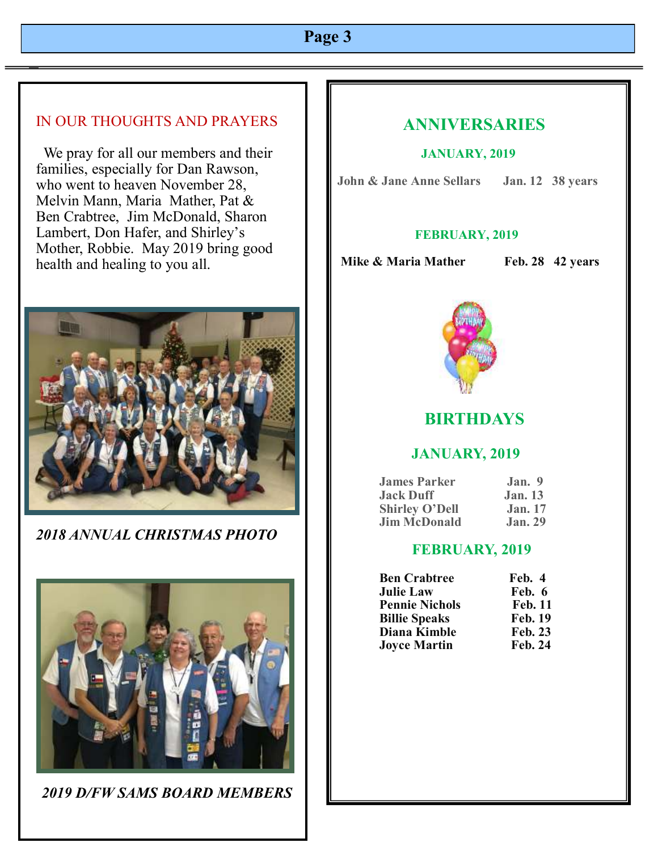## IN OUR THOUGHTS AND PRAYERS

 We pray for all our members and their families, especially for Dan Rawson, who went to heaven November 28, Melvin Mann, Maria Mather, Pat & Ben Crabtree, Jim McDonald, Sharon Lambert, Don Hafer, and Shirley's Mother, Robbie. May 2019 bring good health and healing to you all.



*2018 ANNUAL CHRISTMAS PHOTO*



*2019 D/FW SAMS BOARD MEMBERS*

# **ANNIVERSARIES**

#### **JANUARY, 2019**

**John & Jane Anne Sellars Jan. 12 38 years**

#### **FEBRUARY, 2019**

**Mike & Maria Mather Feb. 28 42 years** 



## **BIRTHDAYS**

## **JANUARY, 2019**

| <b>James Parker</b>   | Jan. 9         |
|-----------------------|----------------|
| <b>Jack Duff</b>      | <b>Jan.</b> 13 |
| <b>Shirley O'Dell</b> | <b>Jan.</b> 17 |
| <b>Jim McDonald</b>   | Jan.29         |

#### **FEBRUARY, 2019**

| <b>Ben Crabtree</b>   | Feb. 4         |
|-----------------------|----------------|
| <b>Julie Law</b>      | Feb. 6         |
| <b>Pennie Nichols</b> | <b>Feb. 11</b> |
| <b>Billie Speaks</b>  | <b>Feb. 19</b> |
| Diana Kimble          | <b>Feb. 23</b> |
| <b>Joyce Martin</b>   | <b>Feb. 24</b> |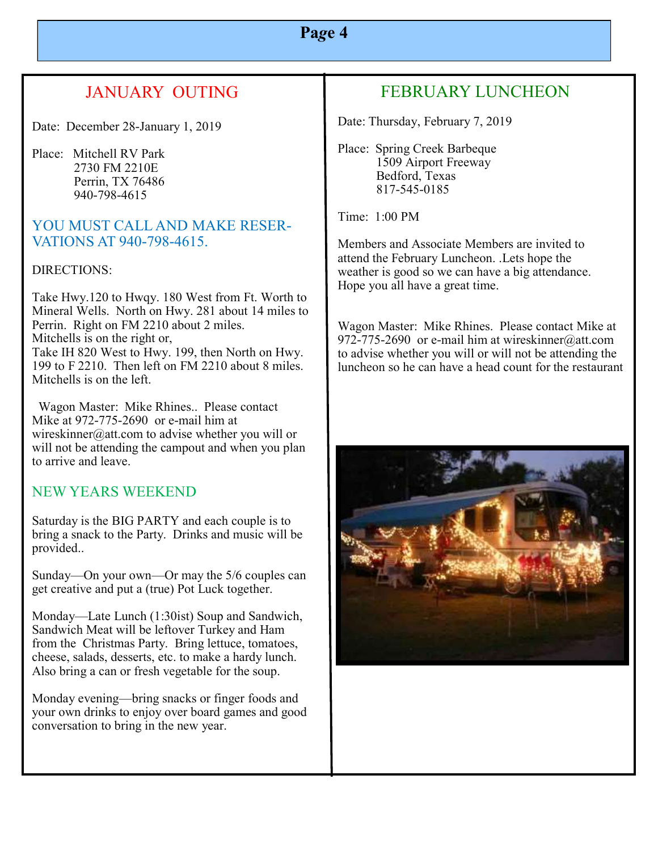# JANUARY OUTING

Date: December 28-January 1, 2019

Place: Mitchell RV Park 2730 FM 2210E Perrin, TX 76486 940-798-4615

## YOU MUST CALL AND MAKE RESER-VATIONS AT 940-798-4615.

#### DIRECTIONS:

Take Hwy.120 to Hwqy. 180 West from Ft. Worth to Mineral Wells. North on Hwy. 281 about 14 miles to Perrin. Right on FM 2210 about 2 miles. Mitchells is on the right or, Take IH 820 West to Hwy. 199, then North on Hwy. 199 to F 2210. Then left on FM 2210 about 8 miles. Mitchells is on the left.

 Wagon Master: Mike Rhines.. Please contact Mike at 972-775-2690 or e-mail him at wireskinner@att.com to advise whether you will or will not be attending the campout and when you plan to arrive and leave.

## NEW YEARS WEEKEND

Saturday is the BIG PARTY and each couple is to bring a snack to the Party. Drinks and music will be provided..

Sunday—On your own—Or may the 5/6 couples can get creative and put a (true) Pot Luck together.

Monday—Late Lunch (1:30ist) Soup and Sandwich, Sandwich Meat will be leftover Turkey and Ham from the Christmas Party. Bring lettuce, tomatoes, cheese, salads, desserts, etc. to make a hardy lunch. Also bring a can or fresh vegetable for the soup.

Monday evening—bring snacks or finger foods and your own drinks to enjoy over board games and good conversation to bring in the new year.

# FEBRUARY LUNCHEON

Date: Thursday, February 7, 2019

Place: Spring Creek Barbeque 1509 Airport Freeway Bedford, Texas 817-545-0185

Time: 1:00 PM

Members and Associate Members are invited to attend the February Luncheon. .Lets hope the weather is good so we can have a big attendance. Hope you all have a great time.

Wagon Master: Mike Rhines. Please contact Mike at 972-775-2690 or e-mail him at wireskinner@att.com to advise whether you will or will not be attending the luncheon so he can have a head count for the restaurant

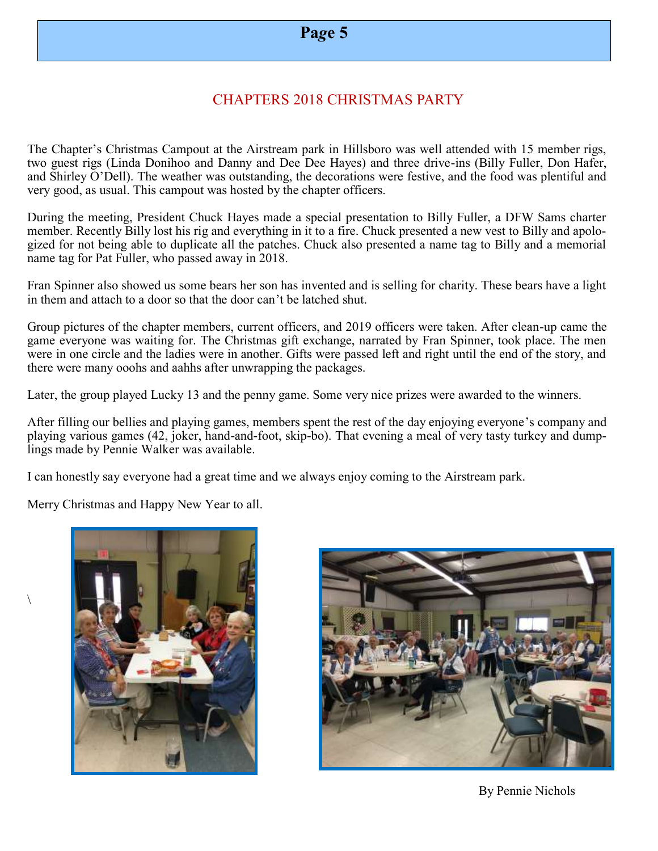## CHAPTERS 2018 CHRISTMAS PARTY

The Chapter's Christmas Campout at the Airstream park in Hillsboro was well attended with 15 member rigs, two guest rigs (Linda Donihoo and Danny and Dee Dee Hayes) and three drive-ins (Billy Fuller, Don Hafer, and Shirley O'Dell). The weather was outstanding, the decorations were festive, and the food was plentiful and very good, as usual. This campout was hosted by the chapter officers.

During the meeting, President Chuck Hayes made a special presentation to Billy Fuller, a DFW Sams charter member. Recently Billy lost his rig and everything in it to a fire. Chuck presented a new vest to Billy and apologized for not being able to duplicate all the patches. Chuck also presented a name tag to Billy and a memorial name tag for Pat Fuller, who passed away in 2018.

Fran Spinner also showed us some bears her son has invented and is selling for charity. These bears have a light in them and attach to a door so that the door can't be latched shut.

Group pictures of the chapter members, current officers, and 2019 officers were taken. After clean-up came the game everyone was waiting for. The Christmas gift exchange, narrated by Fran Spinner, took place. The men were in one circle and the ladies were in another. Gifts were passed left and right until the end of the story, and there were many ooohs and aahhs after unwrapping the packages.

Later, the group played Lucky 13 and the penny game. Some very nice prizes were awarded to the winners.

After filling our bellies and playing games, members spent the rest of the day enjoying everyone's company and playing various games (42, joker, hand-and-foot, skip-bo). That evening a meal of very tasty turkey and dumplings made by Pennie Walker was available.

I can honestly say everyone had a great time and we always enjoy coming to the Airstream park.

Merry Christmas and Happy New Year to all.

 $\setminus$ 





By Pennie Nichols